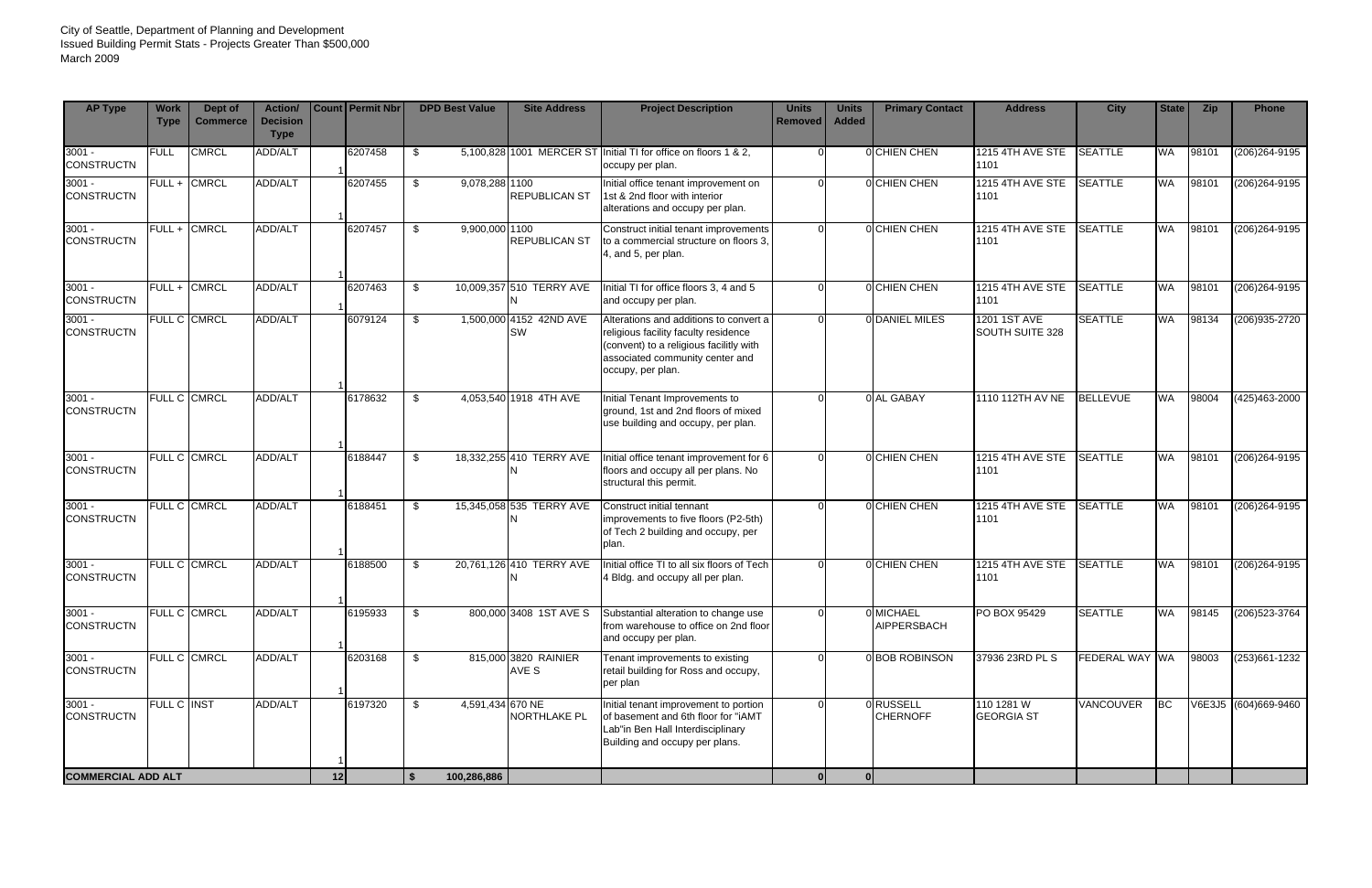| <b>AP Type</b>                | <b>Work</b><br><b>Type</b> | Dept of<br><b>Commerce</b> | <b>Action/</b><br><b>Decision</b><br><b>Type</b> |              | <b>Count   Permit Nbr</b> |      | <b>DPD Best Value</b> | <b>Site Address</b>                  | <b>Project Description</b>                                                                                                                                                        | <b>Units</b><br>Removed | <b>Units</b><br><b>Added</b> | <b>Primary Contact</b>      | <b>Address</b>                   | <b>City</b>           | <b>State</b> | <b>Zip</b> | <b>Phone</b>         |
|-------------------------------|----------------------------|----------------------------|--------------------------------------------------|--------------|---------------------------|------|-----------------------|--------------------------------------|-----------------------------------------------------------------------------------------------------------------------------------------------------------------------------------|-------------------------|------------------------------|-----------------------------|----------------------------------|-----------------------|--------------|------------|----------------------|
| $3001 -$<br><b>CONSTRUCTN</b> | <b>FULL</b>                | <b>CMRCL</b>               | ADD/ALT                                          |              | 6207458                   | - \$ |                       |                                      | 5,100,828 1001 MERCER ST Initial TI for office on floors 1 & 2,<br>occupy per plan.                                                                                               |                         |                              | 0 CHIEN CHEN                | 1215 4TH AVE STE SEATTLE<br>1101 |                       | <b>WA</b>    | 98101      | (206) 264-9195       |
| $3001 -$<br><b>CONSTRUCTN</b> | FULL +                     | <b>CMRCL</b>               | ADD/ALT                                          |              | 6207455                   | -\$  | 9,078,288 1100        | REPUBLICAN ST                        | Initial office tenant improvement on<br>1st & 2nd floor with interior<br>alterations and occupy per plan.                                                                         |                         |                              | 0 CHIEN CHEN                | 1215 4TH AVE STE<br>1101         | <b>SEATTLE</b>        | <b>WA</b>    | 98101      | $(206)264 - 9195$    |
| $3001 -$<br><b>CONSTRUCTN</b> | $FULL +$                   | <b>CMRCL</b>               | ADD/ALT                                          |              | 6207457                   | -\$  | 9,900,000 1100        | REPUBLICAN ST                        | Construct initial tenant improvements<br>to a commercial structure on floors 3,<br>4, and 5, per plan.                                                                            |                         |                              | 0 CHIEN CHEN                | 1215 4TH AVE STE<br>1101         | <b>SEATTLE</b>        | <b>WA</b>    | 98101      | (206)264-9195        |
| $3001 -$<br><b>CONSTRUCTN</b> |                            | FULL + CMRCL               | ADD/ALT                                          |              | 6207463                   | -\$  |                       | 10,009,357 510 TERRY AVE             | Initial TI for office floors 3, 4 and 5<br>and occupy per plan.                                                                                                                   |                         |                              | 0 CHIEN CHEN                | 1215 4TH AVE STE<br>1101         | SEATTLE               | <b>WA</b>    | 98101      | $(206)264 - 9195$    |
| $3001 -$<br><b>CONSTRUCTN</b> |                            | FULL C CMRCL               | ADD/ALT                                          |              | 6079124                   | \$   |                       | 1,500,000 4152 42ND AVE<br><b>SW</b> | Alterations and additions to convert a<br>religious facility faculty residence<br>(convent) to a religious facilitly with<br>associated community center and<br>occupy, per plan. | $\Omega$                |                              | 0 DANIEL MILES              | 1201 1ST AVE<br>SOUTH SUITE 328  | <b>SEATTLE</b>        | <b>WA</b>    | 98134      | $(206)935 - 2720$    |
| $3001 -$<br><b>CONSTRUCTN</b> | <b>FULL C</b>              | <b>CMRCL</b>               | ADD/ALT                                          |              | 6178632                   | -\$  |                       | 4,053,540 1918 4TH AVE               | Initial Tenant Improvements to<br>ground, 1st and 2nd floors of mixed<br>use building and occupy, per plan.                                                                       |                         |                              | 0 AL GABAY                  | 1110 112TH AV NE                 | <b>BELLEVUE</b>       | WA           | 98004      | (425)463-2000        |
| $3001 -$<br><b>CONSTRUCTN</b> |                            | <b>FULL C CMRCL</b>        | ADD/ALT                                          |              | 6188447                   | - \$ |                       | 18,332,255 410 TERRY AVE             | Initial office tenant improvement for 6<br>floors and occupy all per plans. No<br>structural this permit.                                                                         |                         |                              | 0 CHIEN CHEN                | 1215 4TH AVE STE<br>1101         | SEATTLE               | <b>WA</b>    | 98101      | $(206)264 - 9195$    |
| $3001 -$<br><b>CONSTRUCTN</b> |                            | FULL C CMRCL               | ADD/ALT                                          |              | 6188451                   | - \$ |                       | 15,345,058 535 TERRY AVE             | Construct initial tennant<br>improvements to five floors (P2-5th)<br>of Tech 2 building and occupy, per<br>plan.                                                                  |                         |                              | 0 CHIEN CHEN                | 1215 4TH AVE STE<br>1101         | <b>SEATTLE</b>        | WA           | 98101      | $(206)264 - 9195$    |
| $3001 -$<br><b>CONSTRUCTN</b> |                            | <b>FULL C CMRCL</b>        | ADD/ALT                                          |              | 6188500                   | -\$  |                       | 20,761,126 410 TERRY AVE             | Initial office TI to all six floors of Tech<br>4 Bldg. and occupy all per plan.                                                                                                   |                         |                              | 0 CHIEN CHEN                | 1215 4TH AVE STE<br>1101         | <b>SEATTLE</b>        | <b>WA</b>    | 98101      | (206) 264-9195       |
| $3001 -$<br><b>CONSTRUCTN</b> |                            | FULL C CMRCL               | ADD/ALT                                          |              | 6195933                   | \$   |                       | 800,000 3408 1ST AVE S               | Substantial alteration to change use<br>from warehouse to office on 2nd floor<br>and occupy per plan.                                                                             |                         |                              | 0 MICHAEL<br>AIPPERSBACH    | PO BOX 95429                     | <b>SEATTLE</b>        | <b>WA</b>    | 98145      | (206) 523-3764       |
| $3001 -$<br><b>CONSTRUCTN</b> |                            | FULL C CMRCL               | ADD/ALT                                          |              | 6203168                   | - \$ |                       | 815,000 3820 RAINIER<br>AVE S        | Tenant improvements to existing<br>retail building for Ross and occupy,<br>per plan                                                                                               |                         |                              | 0 BOB ROBINSON              | 37936 23RD PL S                  | <b>FEDERAL WAY WA</b> |              | 98003      | $(253)661 - 1232$    |
| $3001 -$<br><b>CONSTRUCTN</b> | <b>FULL C INST</b>         |                            | <b>ADD/ALT</b>                                   |              | 6197320                   | \$   | 4,591,434 670 NE      | NORTHLAKE PL                         | Initial tenant improvement to portion<br>of basement and 6th floor for "iAMT<br>Lab"in Ben Hall Interdisciplinary<br>Building and occupy per plans.                               | $\Omega$                |                              | 0RUSSELL<br><b>CHERNOFF</b> | 110 1281 W<br><b>GEORGIA ST</b>  | <b>VANCOUVER</b>      | BC           |            | V6E3J5 (604)669-9460 |
| <b>COMMERCIAL ADD ALT</b>     |                            | 12                         |                                                  | $\mathbf{s}$ | 100,286,886               |      |                       | 0                                    | 0l                                                                                                                                                                                |                         |                              |                             |                                  |                       |              |            |                      |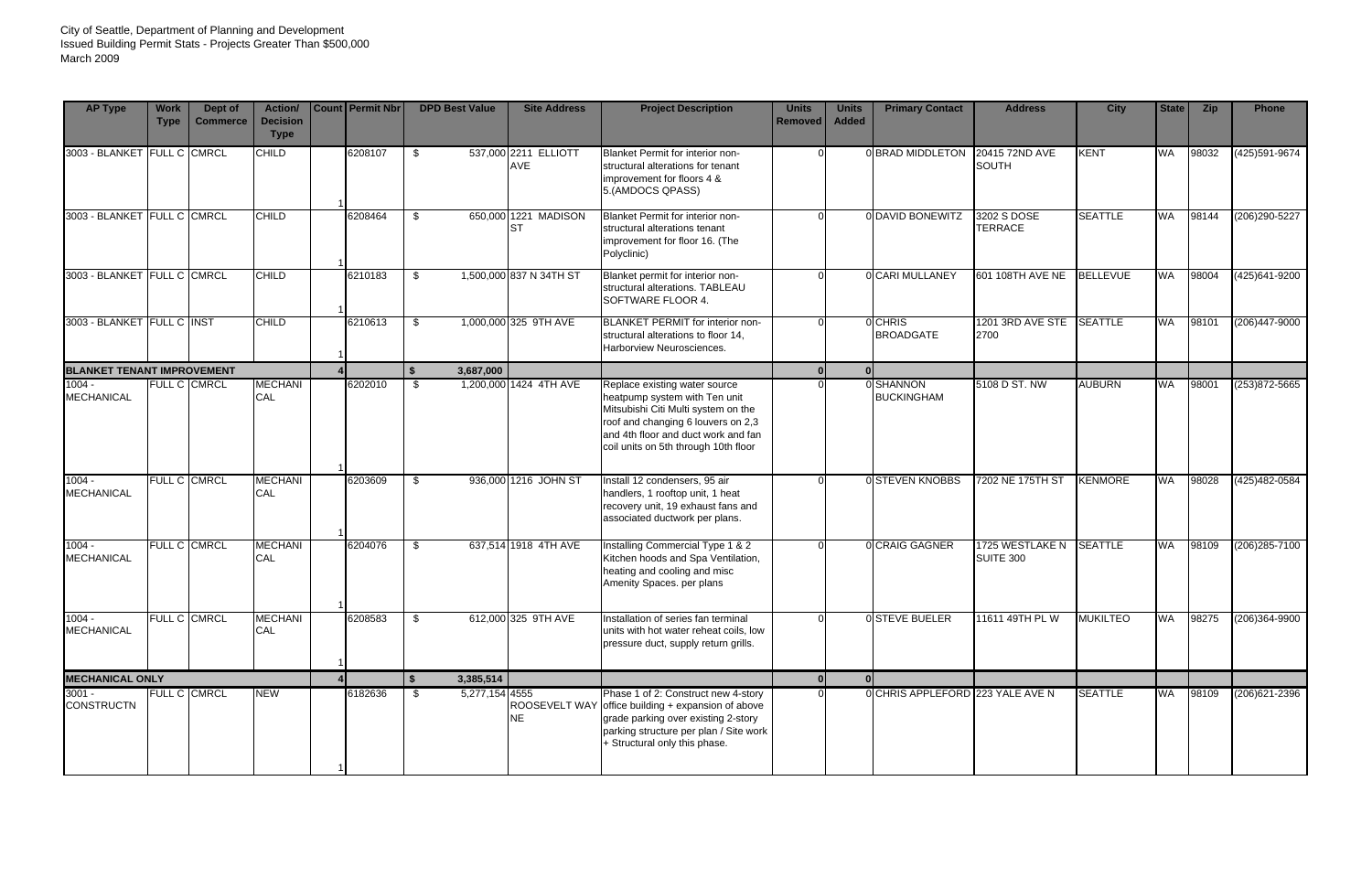| <b>AP Type</b>                    | <b>Work</b><br><b>Type</b> | Dept of<br><b>Commerce</b> | <b>Action/</b><br><b>Decision</b><br><b>Type</b> |  | <b>Count Permit Nbr</b> | <b>DPD Best Value</b>  | <b>Site Address</b>                | <b>Project Description</b>                                                                                                                                                                                                 | <b>Units</b><br>Removed | <b>Units</b><br><b>Added</b> | <b>Primary Contact</b>           | <b>Address</b>                 | <b>City</b>     | <b>State</b> | <b>Zip</b> | <b>Phone</b>      |
|-----------------------------------|----------------------------|----------------------------|--------------------------------------------------|--|-------------------------|------------------------|------------------------------------|----------------------------------------------------------------------------------------------------------------------------------------------------------------------------------------------------------------------------|-------------------------|------------------------------|----------------------------------|--------------------------------|-----------------|--------------|------------|-------------------|
| 3003 - BLANKET FULL C CMRCL       |                            |                            | <b>CHILD</b>                                     |  | 6208107                 | -\$                    | 537,000 2211 ELLIOTT<br><b>AVE</b> | Blanket Permit for interior non-<br>structural alterations for tenant<br>improvement for floors 4 &<br>5.(AMDOCS QPASS)                                                                                                    |                         |                              | 0 BRAD MIDDLETON                 | 20415 72ND AVE<br><b>SOUTH</b> | <b>KENT</b>     | <b>WA</b>    | 98032      | (425)591-9674     |
| 3003 - BLANKET FULL C CMRCL       |                            |                            | <b>CHILD</b>                                     |  | 6208464                 | - \$                   | 650,000 1221 MADISON               | Blanket Permit for interior non-<br>structural alterations tenant<br>improvement for floor 16. (The<br>Polyclinic)                                                                                                         | $\Omega$                |                              | 0 DAVID BONEWITZ                 | 3202 S DOSE<br><b>TERRACE</b>  | <b>SEATTLE</b>  | WA           | 98144      | (206) 290-5227    |
| 3003 - BLANKET FULL C CMRCL       |                            |                            | <b>CHILD</b>                                     |  | 6210183                 | -\$                    | 1,500,000 837 N 34TH ST            | Blanket permit for interior non-<br>structural alterations. TABLEAU<br>SOFTWARE FLOOR 4.                                                                                                                                   |                         |                              | 0 CARI MULLANEY                  | 601 108TH AVE NE               | <b>BELLEVUE</b> | <b>WA</b>    | 98004      | (425)641-9200     |
| 3003 - BLANKET FULL C INST        |                            |                            | <b>CHILD</b>                                     |  | 6210613                 | \$                     | 1,000,000 325 9TH AVE              | BLANKET PERMIT for interior non-<br>structural alterations to floor 14,<br>Harborview Neurosciences.                                                                                                                       |                         |                              | 0 CHRIS<br><b>BROADGATE</b>      | 1201 3RD AVE STE<br>2700       | <b>SEATTLE</b>  | <b>WA</b>    | 98101      | (206)447-9000     |
| <b>BLANKET TENANT IMPROVEMENT</b> |                            |                            |                                                  |  |                         | 3,687,000              |                                    |                                                                                                                                                                                                                            | $\Omega$                |                              |                                  |                                |                 |              |            |                   |
| $1004 -$<br><b>MECHANICAL</b>     |                            | <b>FULL C CMRCL</b>        | <b>MECHANI</b><br>CAL                            |  | 6202010                 | - \$                   | 1,200,000 1424 4TH AVE             | Replace existing water source<br>heatpump system with Ten unit<br>Mitsubishi Citi Multi system on the<br>roof and changing 6 louvers on 2,3<br>and 4th floor and duct work and fan<br>coil units on 5th through 10th floor |                         |                              | 0 SHANNON<br><b>BUCKINGHAM</b>   | 5108 D ST, NW                  | <b>AUBURN</b>   | WA           | 98001      | $(253)872 - 5665$ |
| $1004 -$<br><b>MECHANICAL</b>     | FULL C                     | <b>CMRCL</b>               | <b>MECHANI</b><br>CAL                            |  | 6203609                 | \$                     | 936,000 1216 JOHN ST               | Install 12 condensers, 95 air<br>handlers, 1 rooftop unit, 1 heat<br>recovery unit, 19 exhaust fans and<br>associated ductwork per plans.                                                                                  |                         |                              | 0 STEVEN KNOBBS                  | 7202 NE 175TH ST               | <b>KENMORE</b>  | <b>WA</b>    | 98028      | (425) 482-0584    |
| $1004 -$<br><b>MECHANICAL</b>     |                            | <b>FULL C CMRCL</b>        | <b>MECHANI</b><br>CAL                            |  | 6204076                 | \$                     | 637,514 1918 4TH AVE               | Installing Commercial Type 1 & 2<br>Kitchen hoods and Spa Ventilation,<br>heating and cooling and misc<br>Amenity Spaces. per plans                                                                                        |                         |                              | 0 CRAIG GAGNER                   | 1725 WESTLAKE N<br>SUITE 300   | <b>SEATTLE</b>  | <b>WA</b>    | 98109      | $(206)285 - 7100$ |
| $1004 -$<br><b>MECHANICAL</b>     |                            | FULL C CMRCL               | <b>MECHANI</b><br>CAL                            |  | 6208583                 | -\$                    | 612,000 325 9TH AVE                | Installation of series fan terminal<br>units with hot water reheat coils, low<br>pressure duct, supply return grills.                                                                                                      |                         |                              | 0STEVE BUELER                    | 11611 49TH PL W                | <b>MUKILTEO</b> | <b>WA</b>    | 98275      | (206)364-9900     |
| <b>MECHANICAL ONLY</b>            |                            |                            |                                                  |  |                         | 3,385,514              |                                    |                                                                                                                                                                                                                            | $\Omega$                |                              |                                  |                                |                 |              |            |                   |
| $3001 -$<br><b>CONSTRUCTN</b>     |                            | FULL C CMRCL               | <b>NEW</b>                                       |  | 6182636                 | 5,277,154 4555<br>- \$ | ROOSEVELT WAY<br>NE.               | Phase 1 of 2: Construct new 4-story<br>office building + expansion of above<br>grade parking over existing 2-story<br>parking structure per plan / Site work<br>+ Structural only this phase.                              |                         |                              | 0 CHRIS APPLEFORD 223 YALE AVE N |                                | <b>SEATTLE</b>  | <b>WA</b>    | 98109      | (206) 621-2396    |